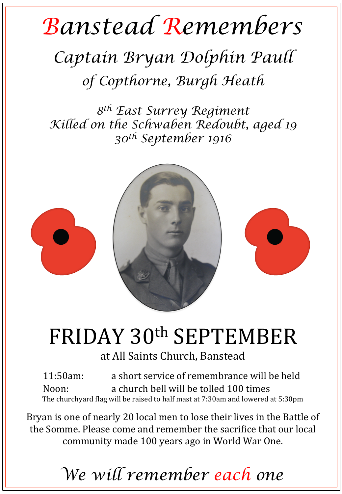## *Banstead Remembers*

## *Captain Bryan Dolphin Paull of Copthorne, Burgh Heath*

*8th East Surrey Regiment Killed on the Schwaben Redoubt, aged 19 30th September 1916* 



## FRIDAY 30th SEPTEMBER

at All Saints Church, Banstead

11:50am: a short service of remembrance will be held Noon: a church bell will be tolled 100 times The churchyard flag will be raised to half mast at 7:30am and lowered at 5:30pm

Bryan is one of nearly 20 local men to lose their lives in the Battle of the Somme. Please come and remember the sacrifice that our local community made 100 years ago in World War One.

*We will remember each one*